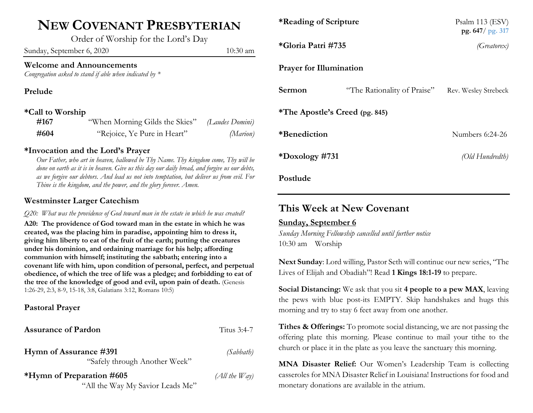## **NEW COVENANT PRESBYTERIAN**

Order of Worship for the Lord's Day

Sunday, September 6, 2020 10:30 am

#### **Welcome and Announcements**

*Congregation asked to stand if able when indicated by \**

**Prelude** 

#### **\*Call to Worship**

| #167 | "When Morning Gilds the Skies" (Laudes Domini) |          |
|------|------------------------------------------------|----------|
| #604 | "Rejoice, Ye Pure in Heart"                    | (Marion) |

#### **\*Invocation and the Lord's Prayer**

*Our Father, who art in heaven, hallowed be Thy Name. Thy kingdom come, Thy will be done on earth as it is in heaven. Give us this day our daily bread, and forgive us our debts, as we forgive our debtors. And lead us not into temptation, but deliver us from evil. For Thine is the kingdom, and the power, and the glory forever. Amen.*

#### **Westminster Larger Catechism**

*Q20: What was the providence of God toward man in the estate in which he was created?*

**A20: The providence of God toward man in the estate in which he was created, was the placing him in paradise, appointing him to dress it, giving him liberty to eat of the fruit of the earth; putting the creatures under his dominion, and ordaining marriage for his help; affording communion with himself; instituting the sabbath; entering into a covenant life with him, upon condition of personal, perfect, and perpetual obedience, of which the tree of life was a pledge; and forbidding to eat of the tree of the knowledge of good and evil, upon pain of death.** (Genesis 1:26-29, 2:3, 8-9, 15-18, 3:8, Galatians 3:12, Romans 10:5)

#### **Pastoral Prayer**

| <b>Assurance of Pardon</b>                                    | Titus 3:4-7       |
|---------------------------------------------------------------|-------------------|
| Hymn of Assurance #391<br>"Safely through Another Week"       | (Sabbath)         |
| *Hymn of Preparation #605<br>"All the Way My Savior Leads Me" | $(All$ the $Way)$ |

| *Reading of Scripture          |                             | Psalm 113 (ESV)<br>pg. $647/$ pg. 317 |  |  |
|--------------------------------|-----------------------------|---------------------------------------|--|--|
| *Gloria Patri #735             |                             | (Greatorex)                           |  |  |
| <b>Prayer for Illumination</b> |                             |                                       |  |  |
| Sermon                         | "The Rationality of Praise" | Rev. Wesley Strebeck                  |  |  |
| *The Apostle's Creed (pg. 845) |                             |                                       |  |  |
| *Benediction                   |                             | Numbers 6:24-26                       |  |  |
| *Doxology #731                 |                             | (Old Hundredth)                       |  |  |
| Postlude                       |                             |                                       |  |  |

### **This Week at New Covenant**

#### **Sunday, September 6**

*Sunday Morning Fellowship cancelled until further notice* 10:30 am Worship

**Next Sunday**: Lord willing, Pastor Seth will continue our new series, "The Lives of Elijah and Obadiah"! Read **1 Kings 18:1-19** to prepare.

**Social Distancing:** We ask that you sit **4 people to a pew MAX**, leaving the pews with blue post-its EMPTY. Skip handshakes and hugs this morning and try to stay 6 feet away from one another.

**Tithes & Offerings:** To promote social distancing, we are not passing the offering plate this morning. Please continue to mail your tithe to the church or place it in the plate as you leave the sanctuary this morning.

**MNA Disaster Relief:** Our Women's Leadership Team is collecting casseroles for MNA Disaster Relief in Louisiana! Instructions for food and monetary donations are available in the atrium.